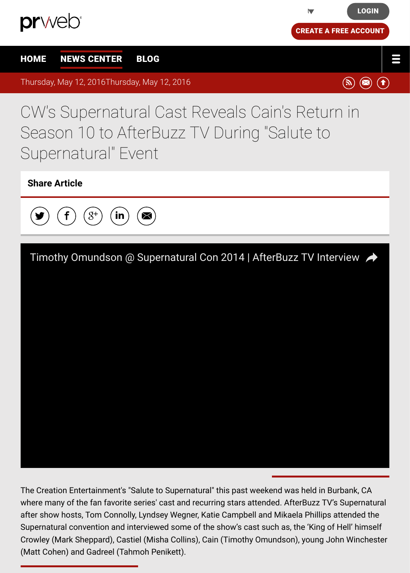## CW's Supernatural Cast Reveals Cain's Return [in](https://app.prweb.com/Login.aspx) [Season 1](http://www.prweb.com/)0 to AfterBuzz TV During "Sal[ute to](https://app.prweb.com/prweb/register.aspx) [Sup](http://www.prweb.com/)e[rnatural" E](http://www.prweb.com/recentnews/)[vent](http://www.cision.com/us/blog/)

## **Share Article**



The Creation Entertainment's "Salute to Supernatural" this past weekend was held in Burbank, where many of the fan favorite series' cast and recurring stars attended. AfterBuzz TV's Super after show hosts, Tom Connolly, Lyndsey Wegner, Katie Campbell and Mikaela Phillips attende Supernatural convention and interviewed some of the show's cast such as, the 'King of Hell' h Crowley (Mark Sheppard), Castiel (Misha Collins), Cain (Timothy Omundson), young John Win (Matt Cohen) and Gadreel (Tahmoh Penikett).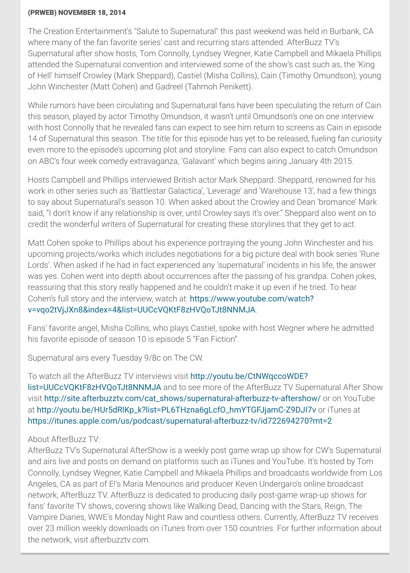While rumors have been circulating and Supernatural fans have been speculating the return of Cain this season, played by actor Timothy Omundson, it wasn't until Omundson's one on one interv with host Connolly that he revealed fans can expect to see him return to screens as Cain in epo 14 of Supernatural this season. The title for this episode has yet to be released, fueling fan curio even more to the episode's upcoming plot and storyline. Fans can also expect to catch Omun on ABC's four week comedy extravaganza, 'Galavant' which begins airing January 4th 2015.

Hosts Campbell and Phillips interviewed British actor Mark Sheppard. Sheppard, renowned for work in other series such as 'Battlestar Galactica', 'Leverage' and 'Warehouse 13', had a few th to say about Supernatural's season 10. When asked about the Crowley and Dean 'bromance' said, "I don't know if any relationship is over, until Crowley says it's over." Sheppard also went o credit the wonderful writers of Supernatural for creating these storylines that they get to act.

Matt Cohen spoke to Phillips about his experience portraying the young John Winchester and upcoming projects/works which includes negotiations for a big picture deal with book series Lords'. When asked if he had in fact experienced any 'supernatural' incidents in his life, the an was yes. Cohen went into depth about occurrences after the passing of his grandpa. Cohen journals reassuring that this story really happened and he couldn't make it up even if he tried. To hear Cohen's full story and the interview, watch at: https://www.youtube.com/watch? v=vqo2tVjJXn8&index=4&list=UUCcVQKtF8zHVQoTJt8NNMJA.

Fans' favorite angel, Misha Collins, who plays Castiel, spoke with host Wegner where he admi his favorite episode of season 10 is episode 5 "Fan Fiction".

Supernatural airs every Tuesday 9/8c on The CW.

To watch all the AfterBuzz TV interviews visit http://youtu.be/CtNWqccoWDE? list=UUCcVQKtF8zHVQoTJt8NNMJA and to see more of the AfterBuzz TV Supernatural After visit http://site.afterbuzztv.com/cat\_shows/supernatural-afterbuzz-tv-aftershow/ or on YouTube at [http://youtu.be/HUr5dRlKp\\_k?list=PL6THzna6gLcfO\\_hmYTGFJjamC-Z9DJI7v](http://www.prweb.net/Redirect.aspx?id=aHR0cHM6Ly93d3cueW91dHViZS5jb20vd2F0Y2g/dj12cW8ydFZqSlhuOCZpbmRleD00Jmxpc3Q9VVVDY1ZRS3RGOHpIVlFvVEp0OE5OTUpB) or iTunes at https://itunes.apple.com/us/podcast/supernatural-afterbuzz-tv/id722694270?mt=2

## About AfterBuzz TV:

AfterBuzz TV's Supernatural AfterShow is a weekly post game wrap up show for CW's Superr and airs live and posts on demand on platforms such as iTunes and YouTube. It's hosted by Connolly, Lyndsey Wegner, Katie Campbell and Mikaela Phillips and broadcasts worldwide from [Angeles, CA as part of E!'s Maria Menounos and producer Keven Undergaro's o](http://www.prweb.net/Redirect.aspx?id=aHR0cDovL3lvdXR1LmJlL0N0TldxY2NvV0RFP2xpc3Q9VVVDY1ZRS3RGOHpIVlFvVEp0OE5OTUpB)nline broadcast network, AfterBuzz TV. AfterBuzz is dedicated to producing daily post-game wrap-up shows f fan[s' favorite TV shows, covering shows like Walking Dead, Dancing with the Stars](http://www.prweb.net/Redirect.aspx?id=aHR0cDovL3NpdGUuYWZ0ZXJidXp6dHYuY29tL2NhdF9zaG93cy9zdXBlcm5hdHVyYWwtYWZ0ZXJidXp6LXR2LWFmdGVyc2hvdy8=), Reign, The V[ampire Diaries, WWE's Monday Night Raw and countless others. Currently, After](http://www.prweb.net/Redirect.aspx?id=aHR0cDovL3lvdXR1LmJlL0hVcjVkUmxLcF9rP2xpc3Q9UEw2VEh6bmE2Z0xjZk9faG1ZVEdGSmphbUMtWjlESkk3dg==)Buzz TV rec [over 23 million weekly downloads on iTunes from over 150 countries. For further infor](http://www.prweb.net/Redirect.aspx?id=aHR0cHM6Ly9pdHVuZXMuYXBwbGUuY29tL3VzL3BvZGNhc3Qvc3VwZXJuYXR1cmFsLWFmdGVyYnV6ei10di9pZDcyMjY5NDI3MD9tdD0y)mation the network, visit afterbuzztv.com.